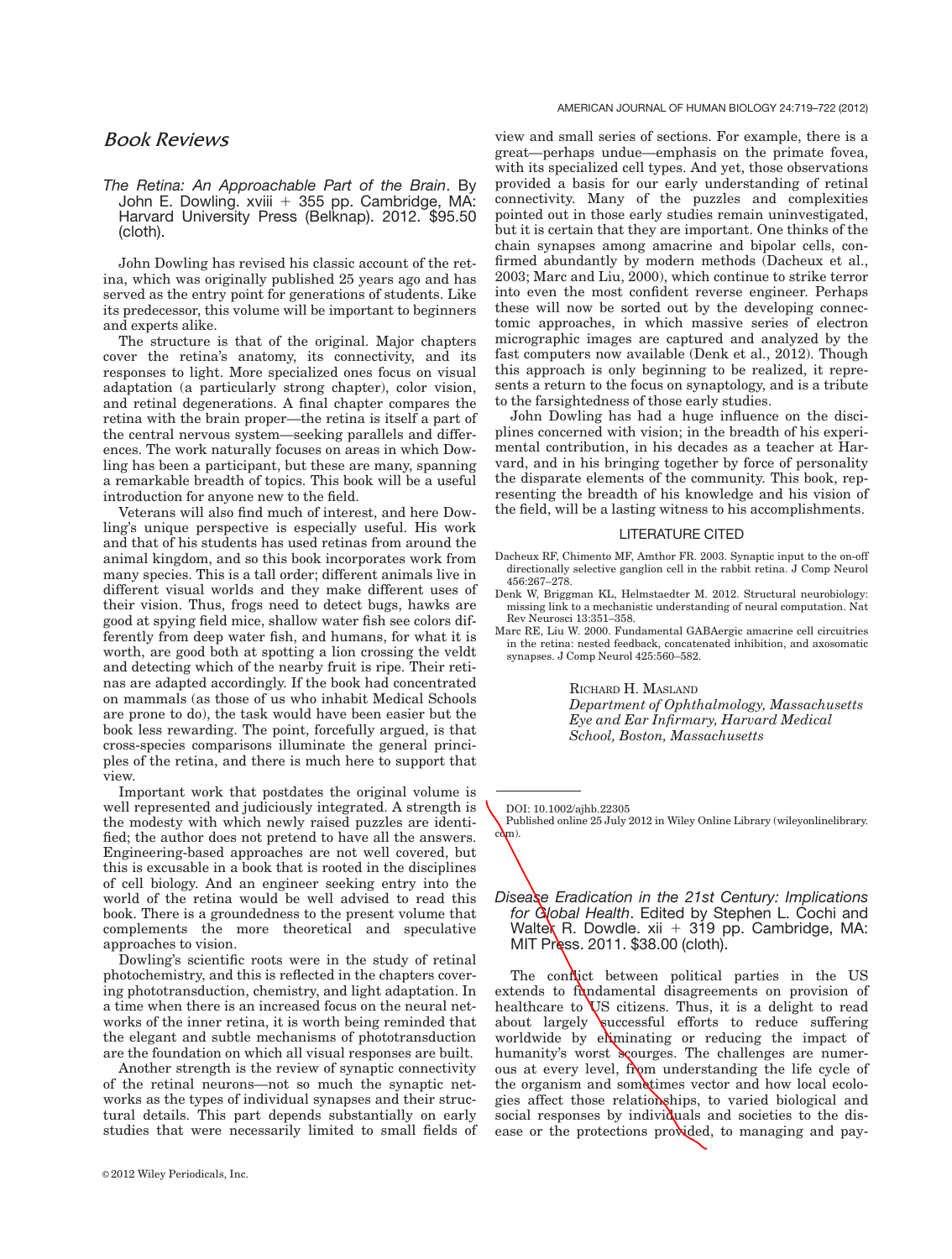view and small series of sections. For example, there is a great—perhaps undue—emphasis on the primate fovea,

#### AMERICAN JOURNAL OF HUMAN BIOLOGY 24:719–722 (2012)

Book Reviews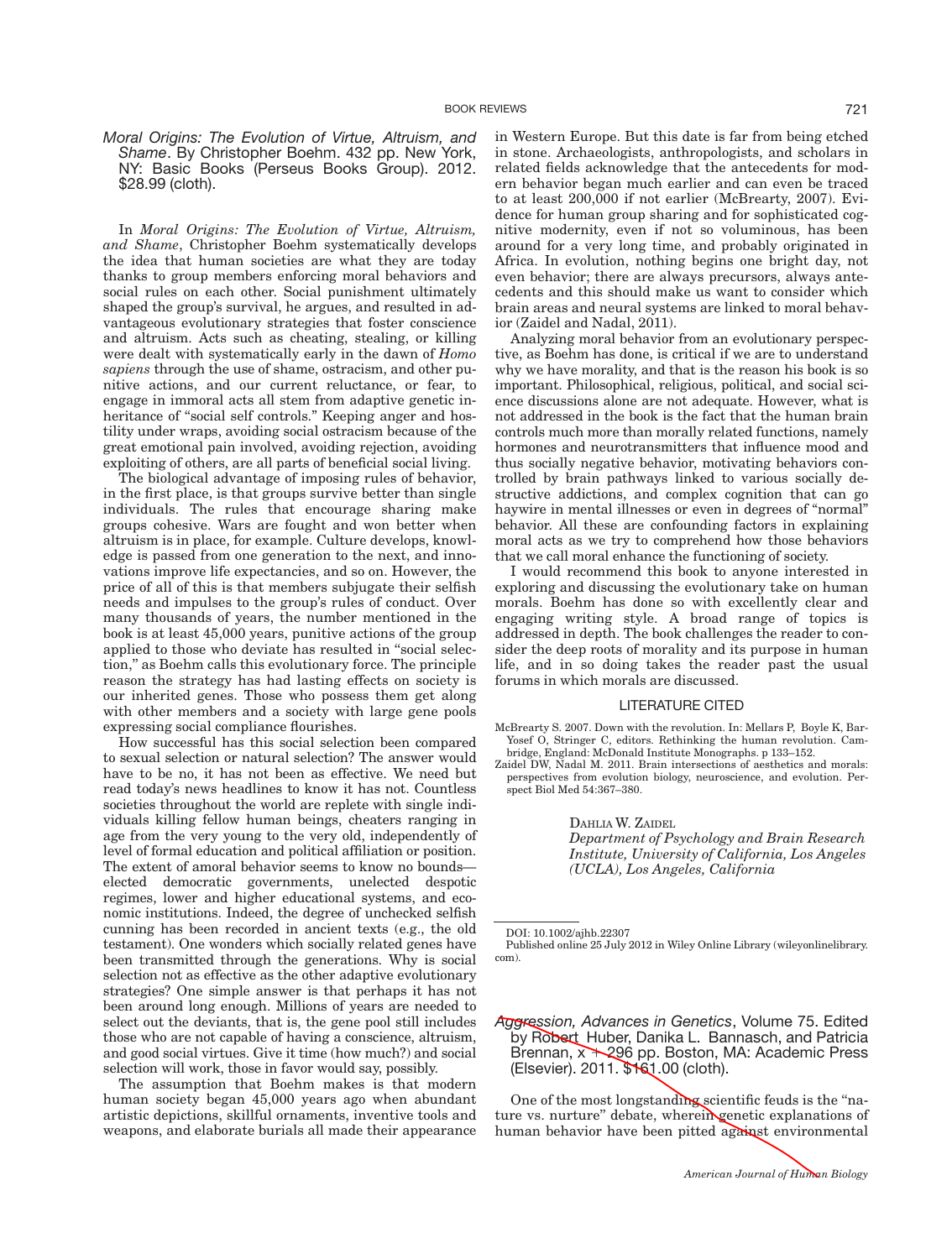# Moral Origins: The Evolution of Virtue, Altruism, and Shame. By Christopher Boehm. 432 pp. New York, NY: Basic Books (Perseus Books Group). 2012. \$28.99 (cloth).

In Moral Origins: The Evolution of Virtue, Altruism, and Shame, Christopher Boehm systematically develops the idea that human societies are what they are today thanks to group members enforcing moral behaviors and social rules on each other. Social punishment ultimately shaped the group's survival, he argues, and resulted in advantageous evolutionary strategies that foster conscience and altruism. Acts such as cheating, stealing, or killing were dealt with systematically early in the dawn of Homo sapiens through the use of shame, ostracism, and other punitive actions, and our current reluctance, or fear, to engage in immoral acts all stem from adaptive genetic inheritance of "social self controls." Keeping anger and hostility under wraps, avoiding social ostracism because of the great emotional pain involved, avoiding rejection, avoiding exploiting of others, are all parts of beneficial social living.

The biological advantage of imposing rules of behavior, in the first place, is that groups survive better than single individuals. The rules that encourage sharing make groups cohesive. Wars are fought and won better when altruism is in place, for example. Culture develops, knowledge is passed from one generation to the next, and innovations improve life expectancies, and so on. However, the price of all of this is that members subjugate their selfish needs and impulses to the group's rules of conduct. Over many thousands of years, the number mentioned in the book is at least 45,000 years, punitive actions of the group applied to those who deviate has resulted in ''social selection,'' as Boehm calls this evolutionary force. The principle reason the strategy has had lasting effects on society is our inherited genes. Those who possess them get along with other members and a society with large gene pools expressing social compliance flourishes.

How successful has this social selection been compared to sexual selection or natural selection? The answer would have to be no, it has not been as effective. We need but read today's news headlines to know it has not. Countless societies throughout the world are replete with single individuals killing fellow human beings, cheaters ranging in age from the very young to the very old, independently of level of formal education and political affiliation or position. The extent of amoral behavior seems to know no bounds elected democratic governments, unelected despotic regimes, lower and higher educational systems, and economic institutions. Indeed, the degree of unchecked selfish cunning has been recorded in ancient texts (e.g., the old testament). One wonders which socially related genes have been transmitted through the generations. Why is social selection not as effective as the other adaptive evolutionary strategies? One simple answer is that perhaps it has not been around long enough. Millions of years are needed to select out the deviants, that is, the gene pool still includes those who are not capable of having a conscience, altruism, and good social virtues. Give it time (how much?) and social selection will work, those in favor would say, possibly.

The assumption that Boehm makes is that modern human society began 45,000 years ago when abundant artistic depictions, skillful ornaments, inventive tools and weapons, and elaborate burials all made their appearance

in Western Europe. But this date is far from being etched in stone. Archaeologists, anthropologists, and scholars in related fields acknowledge that the antecedents for modern behavior began much earlier and can even be traced to at least 200,000 if not earlier (McBrearty, 2007). Evidence for human group sharing and for sophisticated cognitive modernity, even if not so voluminous, has been around for a very long time, and probably originated in Africa. In evolution, nothing begins one bright day, not even behavior; there are always precursors, always antecedents and this should make us want to consider which brain areas and neural systems are linked to moral behavior (Zaidel and Nadal, 2011).

Analyzing moral behavior from an evolutionary perspective, as Boehm has done, is critical if we are to understand why we have morality, and that is the reason his book is so important. Philosophical, religious, political, and social science discussions alone are not adequate. However, what is not addressed in the book is the fact that the human brain controls much more than morally related functions, namely hormones and neurotransmitters that influence mood and thus socially negative behavior, motivating behaviors controlled by brain pathways linked to various socially destructive addictions, and complex cognition that can go haywire in mental illnesses or even in degrees of "normal" behavior. All these are confounding factors in explaining moral acts as we try to comprehend how those behaviors that we call moral enhance the functioning of society.

I would recommend this book to anyone interested in exploring and discussing the evolutionary take on human morals. Boehm has done so with excellently clear and engaging writing style. A broad range of topics is addressed in depth. The book challenges the reader to consider the deep roots of morality and its purpose in human life, and in so doing takes the reader past the usual forums in which morals are discussed.

### LITERATURE CITED

McBrearty S. 2007. Down with the revolution. In: Mellars P, Boyle K, Bar-Yosef O, Stringer C, editors. Rethinking the human revolution. Cambridge, England: McDonald Institute Monographs. p 133–152.

Zaidel DW, Nadal M. 2011. Brain intersections of aesthetics and morals: perspectives from evolution biology, neuroscience, and evolution. Perspect Biol Med 54:367–380.

DAHLIA W. ZAIDEL

Department of Psychology and Brain Research Institute, University of California, Los Angeles (UCLA), Los Angeles, California

DOI: 10.1002/ajhb.22307

Published online 25 July 2012 in Wiley Online Library (wileyonlinelibrary. com).

Aggression, Advances in Genetics, Volume 75. Edited by Robert Huber, Danika L. Bannasch, and Patricia Brennan, x 1 296 pp. Boston, MA: Academic Press (Elsevier). 2011. \$161.00 (cloth).

One of the most longstanding scientific feuds is the "nature vs. nurture" debate, wherein genetic explanations of human behavior have been pitted against environmental